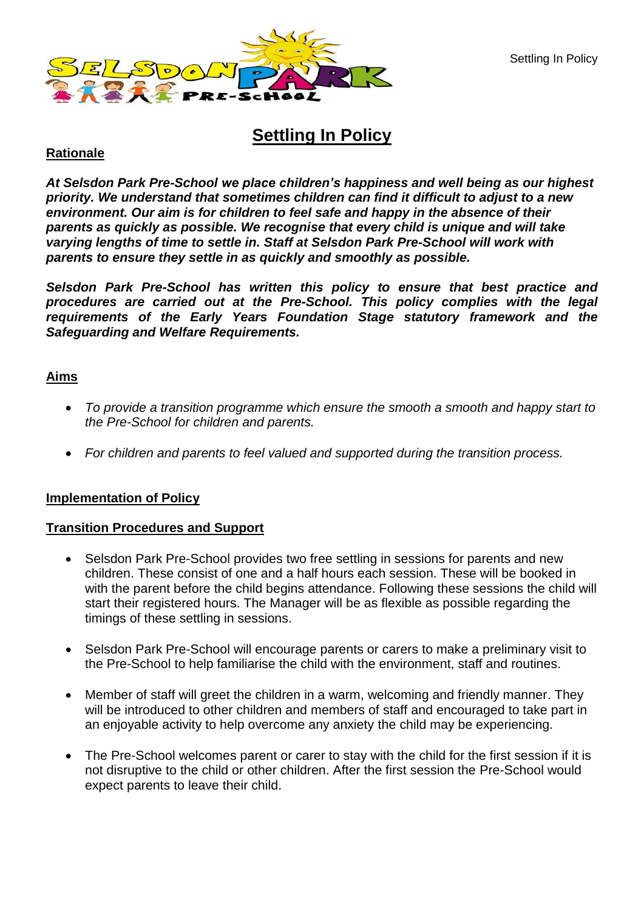

# **Settling In Policy**

# **Rationale**

*At Selsdon Park Pre-School we place children's happiness and well being as our highest priority. We understand that sometimes children can find it difficult to adjust to a new environment. Our aim is for children to feel safe and happy in the absence of their parents as quickly as possible. We recognise that every child is unique and will take varying lengths of time to settle in. Staff at Selsdon Park Pre-School will work with parents to ensure they settle in as quickly and smoothly as possible.*

*Selsdon Park Pre-School has written this policy to ensure that best practice and procedures are carried out at the Pre-School. This policy complies with the legal requirements of the Early Years Foundation Stage statutory framework and the Safeguarding and Welfare Requirements.* 

# **Aims**

- *To provide a transition programme which ensure the smooth a smooth and happy start to the Pre-School for children and parents.*
- *For children and parents to feel valued and supported during the transition process.*

### **Implementation of Policy**

### **Transition Procedures and Support**

- Selsdon Park Pre-School provides two free settling in sessions for parents and new children. These consist of one and a half hours each session. These will be booked in with the parent before the child begins attendance. Following these sessions the child will start their registered hours. The Manager will be as flexible as possible regarding the timings of these settling in sessions.
- Selsdon Park Pre-School will encourage parents or carers to make a preliminary visit to the Pre-School to help familiarise the child with the environment, staff and routines.
- Member of staff will greet the children in a warm, welcoming and friendly manner. They will be introduced to other children and members of staff and encouraged to take part in an enjoyable activity to help overcome any anxiety the child may be experiencing.
- The Pre-School welcomes parent or carer to stay with the child for the first session if it is not disruptive to the child or other children. After the first session the Pre-School would expect parents to leave their child.